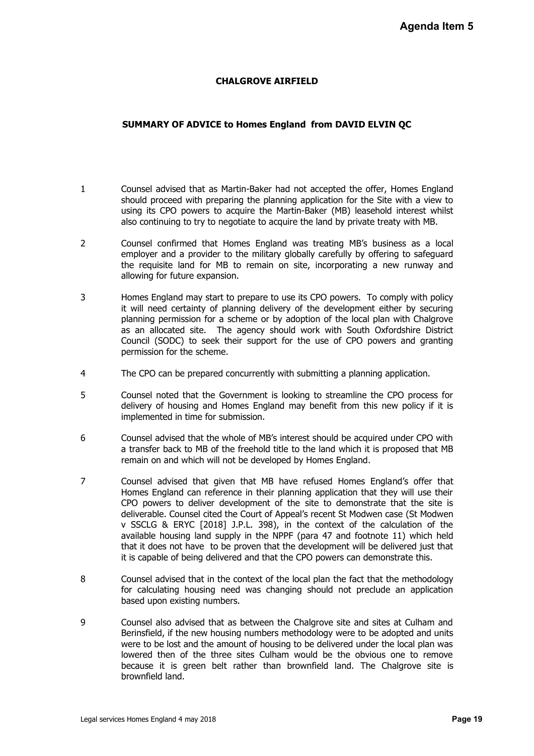## **CHALGROVE AIRFIELD**

## **SUMMARY OF ADVICE to Homes England from DAVID ELVIN QC**

- 1 Counsel advised that as Martin-Baker had not accepted the offer, Homes England should proceed with preparing the planning application for the Site with a view to using its CPO powers to acquire the Martin-Baker (MB) leasehold interest whilst also continuing to try to negotiate to acquire the land by private treaty with MB.
- 2 Counsel confirmed that Homes England was treating MB's business as a local employer and a provider to the military globally carefully by offering to safeguard the requisite land for MB to remain on site, incorporating a new runway and allowing for future expansion.
- 3 Homes England may start to prepare to use its CPO powers. To comply with policy it will need certainty of planning delivery of the development either by securing planning permission for a scheme or by adoption of the local plan with Chalgrove as an allocated site. The agency should work with South Oxfordshire District Council (SODC) to seek their support for the use of CPO powers and granting permission for the scheme.
- 4 The CPO can be prepared concurrently with submitting a planning application.
- 5 Counsel noted that the Government is looking to streamline the CPO process for delivery of housing and Homes England may benefit from this new policy if it is implemented in time for submission.
- 6 Counsel advised that the whole of MB's interest should be acquired under CPO with a transfer back to MB of the freehold title to the land which it is proposed that MB remain on and which will not be developed by Homes England.
- 7 Counsel advised that given that MB have refused Homes England's offer that Homes England can reference in their planning application that they will use their CPO powers to deliver development of the site to demonstrate that the site is deliverable. Counsel cited the Court of Appeal's recent St Modwen case (St Modwen v SSCLG & ERYC [2018] J.P.L. 398), in the context of the calculation of the available housing land supply in the NPPF (para 47 and footnote 11) which held that it does not have to be proven that the development will be delivered just that it is capable of being delivered and that the CPO powers can demonstrate this. **Agenda Item 5**<br>
pomes England<br>
with a view to<br>
therest whilst<br>
to safeguard<br>
runway and<br>
bly with policy<br>
r by securing<br>
the Chalgrove<br>
shire District<br>
and granting<br>
lication.<br>
D process for<br>
policy if it is<br>
der CPO with
- 8 Counsel advised that in the context of the local plan the fact that the methodology for calculating housing need was changing should not preclude an application based upon existing numbers.
- 9 Counsel also advised that as between the Chalgrove site and sites at Culham and Berinsfield, if the new housing numbers methodology were to be adopted and units were to be lost and the amount of housing to be delivered under the local plan was lowered then of the three sites Culham would be the obvious one to remove because it is green belt rather than brownfield land. The Chalgrove site is brownfield land.